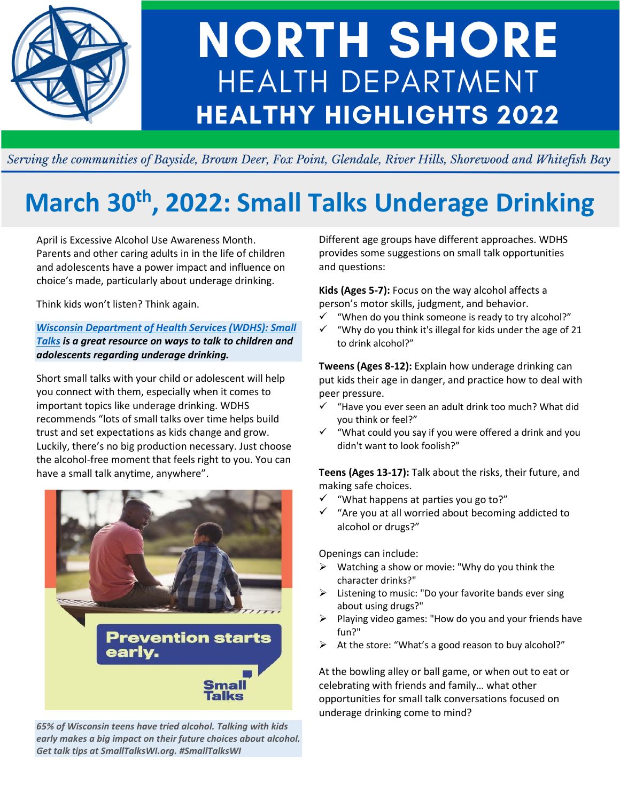

# **NORTH SHORE HEALTH DEPARTMENT HEALTHY HIGHLIGHTS 2022**

Serving the communities of Bayside, Brown Deer, Fox Point, Glendale, River Hills, Shorewood and Whitefish Bay

# **March 30th, 2022: Small Talks Underage Drinking**

April is Excessive Alcohol Use Awareness Month. Parents and other caring adults in in the life of children and adolescents have a power impact and influence on choice's made, particularly about underage drinking.

Think kids won't listen? Think again.

### *[Wisconsin Department of Health Services \(WDHS\): Small](https://www.dhs.wisconsin.gov/small-talks/start-talking.htm)  [Talks](https://www.dhs.wisconsin.gov/small-talks/start-talking.htm) is a great resource on ways to talk to children and adolescents regarding underage drinking.*

Short small talks with your child or adolescent will help you connect with them, especially when it comes to important topics like underage drinking. WDHS recommends "lots of small talks over time helps build trust and set expectations as kids change and grow. Luckily, there's no big production necessary. Just choose the alcohol-free moment that feels right to you. You can have a small talk anytime, anywhere".



*65% of Wisconsin teens have tried alcohol. Talking with kids early makes a big impact on their future choices about alcohol. Get talk tips at SmallTalksWI.org. #SmallTalksWI*

Different age groups have different approaches. WDHS provides some suggestions on small talk opportunities and questions:

**Kids (Ages 5-7):** Focus on the way alcohol affects a person's motor skills, judgment, and behavior.

- ✓ "When do you think someone is ready to try alcohol?"
- "Why do you think it's illegal for kids under the age of 21 to drink alcohol?"

**Tweens (Ages 8-12):** Explain how underage drinking can put kids their age in danger, and practice how to deal with peer pressure.

- ✓ "Have you ever seen an adult drink too much? What did you think or feel?"
- "What could you say if you were offered a drink and you didn't want to look foolish?"

**Teens (Ages 13-17):** Talk about the risks, their future, and making safe choices.

- ✓ "What happens at parties you go to?"
- "Are you at all worried about becoming addicted to alcohol or drugs?"

Openings can include:

- $\triangleright$  Watching a show or movie: "Why do you think the character drinks?"
- $\triangleright$  Listening to music: "Do your favorite bands ever sing about using drugs?"
- ➢ Playing video games: "How do you and your friends have fun?"
- At the store: "What's a good reason to buy alcohol?"

At the bowling alley or ball game, or when out to eat or celebrating with friends and family… what other opportunities for small talk conversations focused on underage drinking come to mind?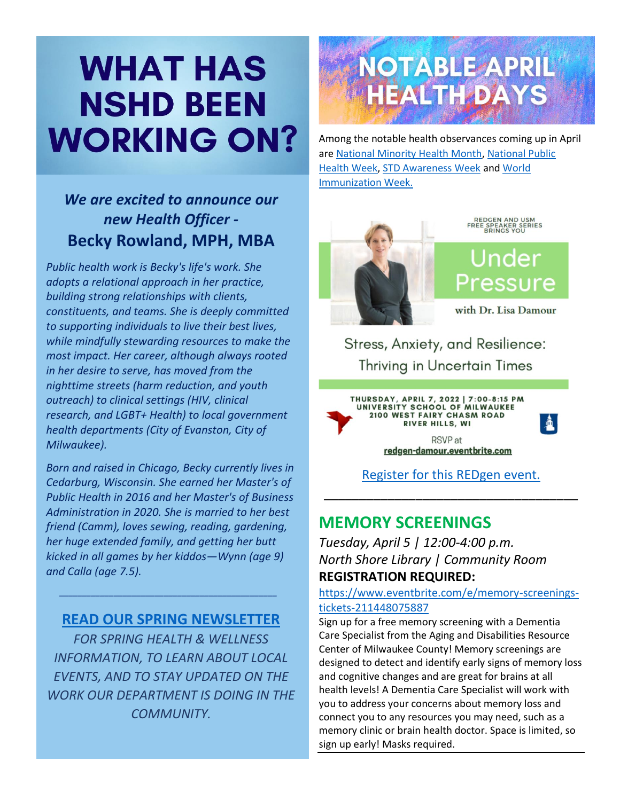# **WHAT HAS NSHD BEEN WORKING ON?**

# *We are excited to announce our new Health Officer -* **Becky Rowland, MPH, MBA**

*Public health work is Becky's life's work. She adopts a relational approach in her practice, building strong relationships with clients, constituents, and teams. She is deeply committed to supporting individuals to live their best lives, while mindfully stewarding resources to make the most impact. Her career, although always rooted in her desire to serve, has moved from the nighttime streets (harm reduction, and youth outreach) to clinical settings (HIV, clinical research, and LGBT+ Health) to local government health departments (City of Evanston, City of Milwaukee).*

*Born and raised in Chicago, Becky currently lives in Cedarburg, Wisconsin. She earned her Master's of Public Health in 2016 and her Master's of Business Administration in 2020. She is married to her best friend (Camm), loves sewing, reading, gardening, her huge extended family, and getting her butt kicked in all games by her kiddos—Wynn (age 9) and Calla (age 7.5).*

## **[READ OUR SPRING NEWSLETTER](https://mailchi.mp/nshealthdept.org/spring-2022-newsletter-from-nshd-6180946)**

*\_\_\_\_\_\_\_\_\_\_\_\_\_\_\_\_\_\_\_\_\_\_\_\_\_\_\_\_\_\_\_\_\_\_\_\_\_\_\_\_\_\_\_\_\_\_\_\_*

*FOR SPRING HEALTH & WELLNESS INFORMATION, TO LEARN ABOUT LOCAL EVENTS, AND TO STAY UPDATED ON THE WORK OUR DEPARTMENT IS DOING IN THE COMMUNITY.*



Among the notable health observances coming up in April are [National Minority Health Month,](https://www.minorityhealth.hhs.gov/nmhm/) [National Public](http://nphw.org/)  [Health Week,](http://nphw.org/) [STD Awareness Week](https://www.cdc.gov/std/saw/index.htm) an[d World](https://www.who.int/campaigns/world-immunization-week/world-immunization-week-2022)  [Immunization Week.](https://www.who.int/campaigns/world-immunization-week/world-immunization-week-2022)



REDGEN AND USM<br>FREE SPEAKER SERIES<br>BRINGS YOU

Under Pressure

with Dr. Lisa Damour

颪

Stress, Anxiety, and Resilience: **Thriving in Uncertain Times** 





\_\_\_\_\_\_\_\_\_\_\_\_\_\_\_\_\_\_\_\_\_\_\_\_\_\_\_\_\_\_\_\_\_\_\_\_

# **MEMORY SCREENINGS**

*Tuesday, April 5 | 12:00-4:00 p.m. North Shore Library | Community Room* **REGISTRATION REQUIRED:**

[https://www.eventbrite.com/e/memory-screenings](https://www.eventbrite.com/e/memory-screenings-tickets-211448075887)[tickets-211448075887](https://www.eventbrite.com/e/memory-screenings-tickets-211448075887)

Sign up for a free memory screening with a Dementia Care Specialist from the Aging and Disabilities Resource Center of Milwaukee County! Memory screenings are designed to detect and identify early signs of memory loss and cognitive changes and are great for brains at all health levels! A Dementia Care Specialist will work with you to address your concerns about memory loss and connect you to any resources you may need, such as a memory clinic or brain health doctor. Space is limited, so sign up early! Masks required.